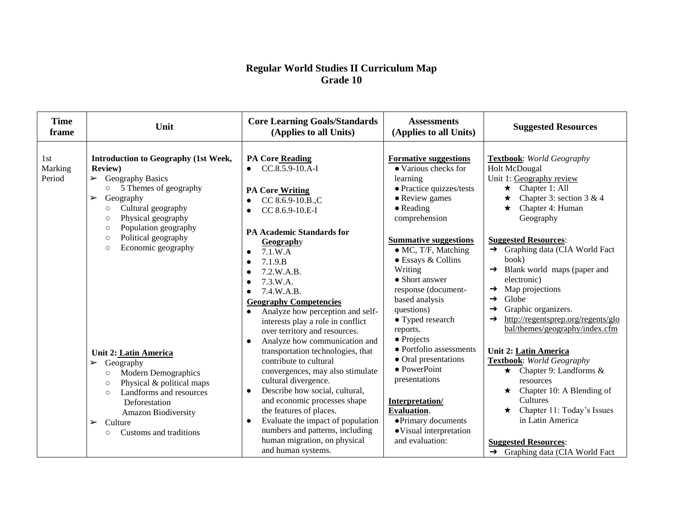| <b>Time</b><br>frame     | Unit                                                                                                                                                                                                                                                                                        | <b>Core Learning Goals/Standards</b><br>(Applies to all Units)                                                                                                                                                                                                                                                                                                               | <b>Assessments</b><br>(Applies to all Units)                                                                                                                                                                                | <b>Suggested Resources</b>                                                                                                                                                                                                                                                               |
|--------------------------|---------------------------------------------------------------------------------------------------------------------------------------------------------------------------------------------------------------------------------------------------------------------------------------------|------------------------------------------------------------------------------------------------------------------------------------------------------------------------------------------------------------------------------------------------------------------------------------------------------------------------------------------------------------------------------|-----------------------------------------------------------------------------------------------------------------------------------------------------------------------------------------------------------------------------|------------------------------------------------------------------------------------------------------------------------------------------------------------------------------------------------------------------------------------------------------------------------------------------|
| 1st<br>Marking<br>Period | Introduction to Geography (1st Week,<br><b>Review</b> )<br>$\triangleright$ Geography Basics<br>5 Themes of geography<br>$\circ$<br>Geography<br>$\blacktriangleright$<br>Cultural geography<br>$\circ$<br>Physical geography<br>$\circ$<br>Population geography<br>$\circ$                 | PA Core Reading<br>$CC.8.5.9-10.A-I$<br>$\bullet$<br><b>PA Core Writing</b><br>CC 8.6.9-10.B.,C<br>$\bullet$<br>CC 8.6.9-10.E-I<br>$\bullet$<br><b>PA Academic Standards for</b>                                                                                                                                                                                             | <b>Formative suggestions</b><br>• Various checks for<br>learning<br>· Practice quizzes/tests<br>• Review games<br>$\bullet$ Reading<br>comprehension                                                                        | <b>Textbook:</b> World Geography<br>Holt McDougal<br>Unit 1: Geography review<br>$\star$ Chapter 1: All<br>Chapter 3: section $3 \& 4$<br>Chapter 4: Human<br>Geography                                                                                                                  |
|                          | Political geography<br>$\circ$<br>Economic geography<br>$\circ$                                                                                                                                                                                                                             | Geography<br>7.1.W.A<br>$\bullet$<br>7.1.9.B<br>$\bullet$<br>7.2.W.A.B.<br>$\bullet$<br>7.3.W.A.<br>$\bullet$<br>7.4.W.A.B.<br>$\bullet$<br><b>Geography Competencies</b><br>Analyze how perception and self-<br>$\bullet$<br>interests play a role in conflict<br>over territory and resources.<br>Analyze how communication and<br>$\bullet$                               | <b>Summative suggestions</b><br>$\bullet$ MC, T/F, Matching<br>• Essays & Collins<br>Writing<br>• Short answer<br>response (document-<br>based analysis<br>questions)<br>• Typed research<br>reports.<br>$\bullet$ Projects | <b>Suggested Resources:</b><br>$\rightarrow$ Graphing data (CIA World Fact<br>book)<br>Blank world maps (paper and<br>→<br>electronic)<br>Map projections<br>→<br>Globe<br>→<br>Graphic organizers.<br>→<br>http://regentsprep.org/regents/glo<br>→<br>bal/themes/geography/index.cfm    |
|                          | Unit 2: Latin America<br>$\triangleright$ Geography<br><b>Modern Demographics</b><br>$\circ$<br>Physical & political maps<br>$\circ$<br>Landforms and resources<br>$\circ$<br>Deforestation<br>Amazon Biodiversity<br>Culture<br>$\blacktriangleright$<br>Customs and traditions<br>$\circ$ | transportation technologies, that<br>contribute to cultural<br>convergences, may also stimulate<br>cultural divergence.<br>Describe how social, cultural,<br>$\bullet$<br>and economic processes shape<br>the features of places.<br>Evaluate the impact of population<br>$\bullet$<br>numbers and patterns, including<br>human migration, on physical<br>and human systems. | • Portfolio assessments<br>• Oral presentations<br>$\bullet$ PowerPoint<br>presentations<br>Interpretation/<br><b>Evaluation.</b><br>• Primary documents<br>• Visual interpretation<br>and evaluation:                      | <b>Unit 2: Latin America</b><br><b>Textbook:</b> World Geography<br>$\star$ Chapter 9: Landforms &<br>resources<br>Chapter 10: A Blending of<br>Cultures<br>Chapter 11: Today's Issues<br>in Latin America<br><b>Suggested Resources:</b><br>$\rightarrow$ Graphing data (CIA World Fact |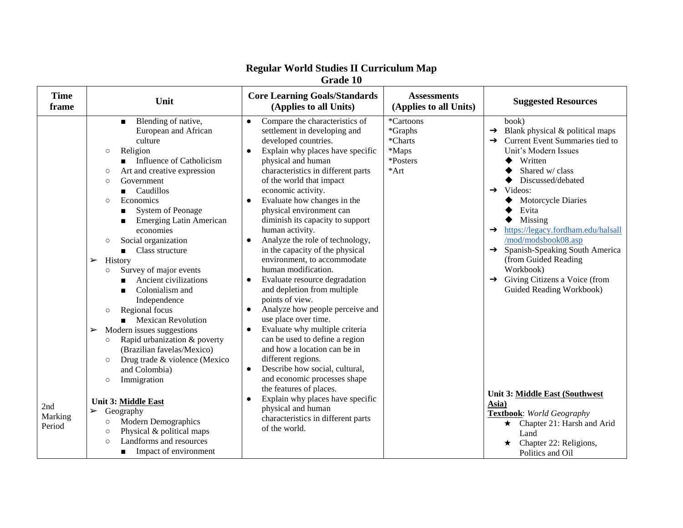|                          | Grade 10                                                                                                                                                                                                                                                                                                                                                                                                                                                                                                                                                                                                                                                                                                                                                                                                                                                                                                                                                                                                                         |                                                                                                                                                                                                                                                                                                                                                                                                                                                                                                                                                                                                                                                                                                                                                                                                                                                                                                                                                                                                                                                                                                   |                                                                |                                                                                                                                                                                                                                                                                                                                                                                                                                                                                                                                                                                                                                                                                         |  |
|--------------------------|----------------------------------------------------------------------------------------------------------------------------------------------------------------------------------------------------------------------------------------------------------------------------------------------------------------------------------------------------------------------------------------------------------------------------------------------------------------------------------------------------------------------------------------------------------------------------------------------------------------------------------------------------------------------------------------------------------------------------------------------------------------------------------------------------------------------------------------------------------------------------------------------------------------------------------------------------------------------------------------------------------------------------------|---------------------------------------------------------------------------------------------------------------------------------------------------------------------------------------------------------------------------------------------------------------------------------------------------------------------------------------------------------------------------------------------------------------------------------------------------------------------------------------------------------------------------------------------------------------------------------------------------------------------------------------------------------------------------------------------------------------------------------------------------------------------------------------------------------------------------------------------------------------------------------------------------------------------------------------------------------------------------------------------------------------------------------------------------------------------------------------------------|----------------------------------------------------------------|-----------------------------------------------------------------------------------------------------------------------------------------------------------------------------------------------------------------------------------------------------------------------------------------------------------------------------------------------------------------------------------------------------------------------------------------------------------------------------------------------------------------------------------------------------------------------------------------------------------------------------------------------------------------------------------------|--|
| <b>Time</b><br>frame     | Unit                                                                                                                                                                                                                                                                                                                                                                                                                                                                                                                                                                                                                                                                                                                                                                                                                                                                                                                                                                                                                             | <b>Core Learning Goals/Standards</b><br>(Applies to all Units)                                                                                                                                                                                                                                                                                                                                                                                                                                                                                                                                                                                                                                                                                                                                                                                                                                                                                                                                                                                                                                    | <b>Assessments</b><br>(Applies to all Units)                   | <b>Suggested Resources</b>                                                                                                                                                                                                                                                                                                                                                                                                                                                                                                                                                                                                                                                              |  |
| 2nd<br>Marking<br>Period | Blending of native,<br>$\blacksquare$<br>European and African<br>culture<br>Religion<br>$\circ$<br>Influence of Catholicism<br>Art and creative expression<br>$\circ$<br>Government<br>$\circ$<br>Caudillos<br>Economics<br>$\circ$<br>System of Peonage<br><b>Emerging Latin American</b><br>economies<br>Social organization<br>$\circ$<br>Class structure<br>$\blacksquare$<br>History<br>$\blacktriangleright$<br>Survey of major events<br>$\circ$<br>Ancient civilizations<br>Colonialism and<br>$\blacksquare$<br>Independence<br>Regional focus<br>$\circ$<br><b>Mexican Revolution</b><br>Modern issues suggestions<br>➤<br>Rapid urbanization & poverty<br>$\circ$<br>(Brazilian favelas/Mexico)<br>Drug trade & violence (Mexico<br>$\circ$<br>and Colombia)<br>Immigration<br>$\circ$<br>Unit 3: Middle East<br>$\blacktriangleright$<br>Geography<br><b>Modern Demographics</b><br>$\circ$<br>Physical & political maps<br>$\circ$<br>Landforms and resources<br>$\circ$<br>Impact of environment<br>$\blacksquare$ | Compare the characteristics of<br>$\bullet$<br>settlement in developing and<br>developed countries.<br>Explain why places have specific<br>$\bullet$<br>physical and human<br>characteristics in different parts<br>of the world that impact<br>economic activity.<br>Evaluate how changes in the<br>$\bullet$<br>physical environment can<br>diminish its capacity to support<br>human activity.<br>Analyze the role of technology,<br>$\bullet$<br>in the capacity of the physical<br>environment, to accommodate<br>human modification.<br>Evaluate resource degradation<br>$\bullet$<br>and depletion from multiple<br>points of view.<br>Analyze how people perceive and<br>$\bullet$<br>use place over time.<br>Evaluate why multiple criteria<br>$\bullet$<br>can be used to define a region<br>and how a location can be in<br>different regions.<br>Describe how social, cultural,<br>$\bullet$<br>and economic processes shape<br>the features of places.<br>Explain why places have specific<br>$\bullet$<br>physical and human<br>characteristics in different parts<br>of the world. | *Cartoons<br>*Graphs<br>*Charts<br>*Maps<br>*Posters<br>$*Art$ | book)<br>$\rightarrow$ Blank physical & political maps<br>$\rightarrow$ Current Event Summaries tied to<br>Unit's Modern Issues<br>Written<br>Shared w/ class<br>Discussed/debated<br>Videos:<br>$\rightarrow$<br>Motorcycle Diaries<br>Evita<br>Missing<br>https://legacy.fordham.edu/halsall<br>$\rightarrow$<br>/mod/modsbook08.asp<br>Spanish-Speaking South America<br>$\rightarrow$<br>(from Guided Reading<br>Workbook)<br>$\rightarrow$ Giving Citizens a Voice (from<br>Guided Reading Workbook)<br>Unit 3: Middle East (Southwest<br>Asia)<br><b>Textbook:</b> World Geography<br>Chapter 21: Harsh and Arid<br>$\star$<br>Land<br>Chapter 22: Religions,<br>Politics and Oil |  |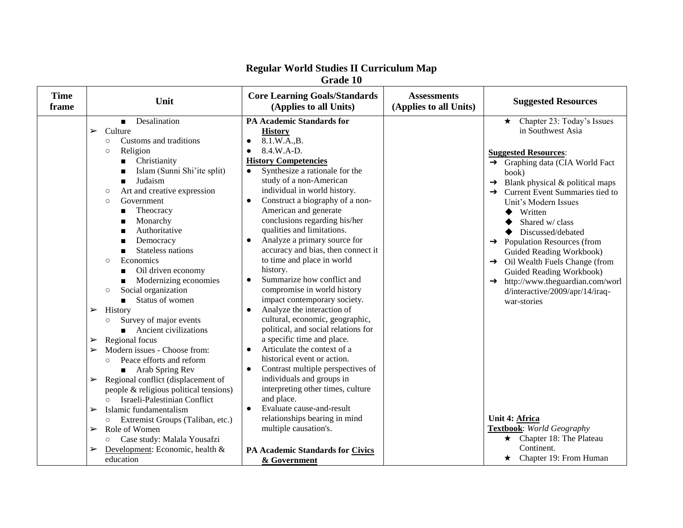|                      | Grade 10                                                                                                                                                                                                                                                                                                                                                                                                                                                                                                                                                                                                                                                                                                                                                                                                                                                                                    |                                                                                                                                                                                                                                                                                                                                                                                                                                                                                                                                                                                                                                                                                                                                                                                                                                                                                                                                                            |                                              |                                                                                                                                                                                                                                                                                                                                                                                                                                                                                                                                                            |  |
|----------------------|---------------------------------------------------------------------------------------------------------------------------------------------------------------------------------------------------------------------------------------------------------------------------------------------------------------------------------------------------------------------------------------------------------------------------------------------------------------------------------------------------------------------------------------------------------------------------------------------------------------------------------------------------------------------------------------------------------------------------------------------------------------------------------------------------------------------------------------------------------------------------------------------|------------------------------------------------------------------------------------------------------------------------------------------------------------------------------------------------------------------------------------------------------------------------------------------------------------------------------------------------------------------------------------------------------------------------------------------------------------------------------------------------------------------------------------------------------------------------------------------------------------------------------------------------------------------------------------------------------------------------------------------------------------------------------------------------------------------------------------------------------------------------------------------------------------------------------------------------------------|----------------------------------------------|------------------------------------------------------------------------------------------------------------------------------------------------------------------------------------------------------------------------------------------------------------------------------------------------------------------------------------------------------------------------------------------------------------------------------------------------------------------------------------------------------------------------------------------------------------|--|
| <b>Time</b><br>frame | Unit                                                                                                                                                                                                                                                                                                                                                                                                                                                                                                                                                                                                                                                                                                                                                                                                                                                                                        | <b>Core Learning Goals/Standards</b><br>(Applies to all Units)                                                                                                                                                                                                                                                                                                                                                                                                                                                                                                                                                                                                                                                                                                                                                                                                                                                                                             | <b>Assessments</b><br>(Applies to all Units) | <b>Suggested Resources</b>                                                                                                                                                                                                                                                                                                                                                                                                                                                                                                                                 |  |
|                      | Desalination<br>$\blacksquare$<br>Culture<br>$\blacktriangleright$<br>Customs and traditions<br>$\circ$<br>Religion<br>$\circ$<br>Christianity<br>Islam (Sunni Shi'ite split)<br>Judaism<br>$\blacksquare$<br>Art and creative expression<br>$\circ$<br>Government<br>$\circ$<br>Theocracy<br>$\blacksquare$<br>Monarchy<br>■<br>Authoritative<br>Democracy<br>Stateless nations<br>$\blacksquare$<br>Economics<br>$\circ$<br>Oil driven economy<br>п<br>Modernizing economies<br>Social organization<br>$\circ$<br>Status of women<br>History<br>➤<br>Survey of major events<br>$\circ$<br>Ancient civilizations<br>$\blacksquare$<br>Regional focus<br>➤<br>Modern issues - Choose from:<br>➤<br>Peace efforts and reform<br>$\circ$<br>■ Arab Spring Rev<br>Regional conflict (displacement of<br>➤<br>people & religious political tensions)<br>Israeli-Palestinian Conflict<br>$\circ$ | <b>PA Academic Standards for</b><br><b>History</b><br>8.1.W.A.,B.<br>8.4.W.A-D.<br><b>History Competencies</b><br>Synthesize a rationale for the<br>$\bullet$<br>study of a non-American<br>individual in world history.<br>Construct a biography of a non-<br>$\bullet$<br>American and generate<br>conclusions regarding his/her<br>qualities and limitations.<br>Analyze a primary source for<br>$\bullet$<br>accuracy and bias, then connect it<br>to time and place in world<br>history.<br>Summarize how conflict and<br>$\bullet$<br>compromise in world history<br>impact contemporary society.<br>Analyze the interaction of<br>cultural, economic, geographic,<br>political, and social relations for<br>a specific time and place.<br>Articulate the context of a<br>$\bullet$<br>historical event or action.<br>Contrast multiple perspectives of<br>$\bullet$<br>individuals and groups in<br>interpreting other times, culture<br>and place. |                                              | Chapter 23: Today's Issues<br>$\star$<br>in Southwest Asia<br><b>Suggested Resources:</b><br>→ Graphing data (CIA World Fact<br>book)<br>$\rightarrow$ Blank physical & political maps<br>Current Event Summaries tied to<br>Unit's Modern Issues<br>Written<br>Shared w/ class<br>Discussed/debated<br>$\rightarrow$ Population Resources (from<br>Guided Reading Workbook)<br>$\rightarrow$ Oil Wealth Fuels Change (from<br>Guided Reading Workbook)<br>$\rightarrow$ http://www.theguardian.com/worl<br>d/interactive/2009/apr/14/iraq-<br>war-stories |  |
|                      | Islamic fundamentalism<br>➤<br>Extremist Groups (Taliban, etc.)<br>Role of Women<br>➤<br>Case study: Malala Yousafzi<br>$\circ$<br>Development: Economic, health &<br>➤<br>education                                                                                                                                                                                                                                                                                                                                                                                                                                                                                                                                                                                                                                                                                                        | Evaluate cause-and-result<br>$\bullet$<br>relationships bearing in mind<br>multiple causation's.<br>PA Academic Standards for Civics<br>& Government                                                                                                                                                                                                                                                                                                                                                                                                                                                                                                                                                                                                                                                                                                                                                                                                       |                                              | Unit 4: Africa<br>Textbook: World Geography<br>$\star$ Chapter 18: The Plateau<br>Continent.<br>$\star$ Chapter 19: From Human                                                                                                                                                                                                                                                                                                                                                                                                                             |  |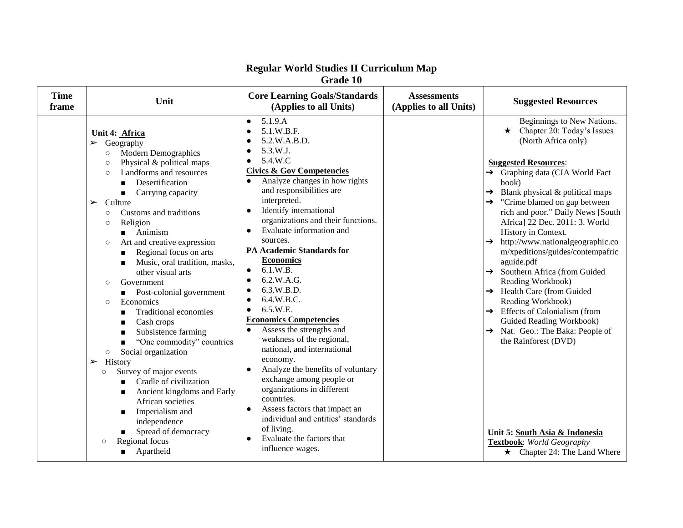| Grade 10             |                                                                                                                                                                                                                                                                                                                                                                                                                                                                                                                                                                                                                                                                                                                                                                                                                                                                                                                                                                                                                                                                  |                                                                                                                                                                                                                                                                                                                                                                                                                                                                                                                                                                                                                                                                                                                                                                                                                                                                                                                                                                                                   |                                              |                                                                                                                                                                                                                                                                                                                                                                                                                                                                                                                                                                                                                                                                                                                                                                                                                                             |
|----------------------|------------------------------------------------------------------------------------------------------------------------------------------------------------------------------------------------------------------------------------------------------------------------------------------------------------------------------------------------------------------------------------------------------------------------------------------------------------------------------------------------------------------------------------------------------------------------------------------------------------------------------------------------------------------------------------------------------------------------------------------------------------------------------------------------------------------------------------------------------------------------------------------------------------------------------------------------------------------------------------------------------------------------------------------------------------------|---------------------------------------------------------------------------------------------------------------------------------------------------------------------------------------------------------------------------------------------------------------------------------------------------------------------------------------------------------------------------------------------------------------------------------------------------------------------------------------------------------------------------------------------------------------------------------------------------------------------------------------------------------------------------------------------------------------------------------------------------------------------------------------------------------------------------------------------------------------------------------------------------------------------------------------------------------------------------------------------------|----------------------------------------------|---------------------------------------------------------------------------------------------------------------------------------------------------------------------------------------------------------------------------------------------------------------------------------------------------------------------------------------------------------------------------------------------------------------------------------------------------------------------------------------------------------------------------------------------------------------------------------------------------------------------------------------------------------------------------------------------------------------------------------------------------------------------------------------------------------------------------------------------|
| <b>Time</b><br>frame | Unit                                                                                                                                                                                                                                                                                                                                                                                                                                                                                                                                                                                                                                                                                                                                                                                                                                                                                                                                                                                                                                                             | <b>Core Learning Goals/Standards</b><br>(Applies to all Units)                                                                                                                                                                                                                                                                                                                                                                                                                                                                                                                                                                                                                                                                                                                                                                                                                                                                                                                                    | <b>Assessments</b><br>(Applies to all Units) | <b>Suggested Resources</b>                                                                                                                                                                                                                                                                                                                                                                                                                                                                                                                                                                                                                                                                                                                                                                                                                  |
|                      | Unit 4: Africa<br>Geography<br>$\blacktriangleright$<br><b>Modern Demographics</b><br>$\circ$<br>Physical & political maps<br>$\circ$<br>Landforms and resources<br>$\circ$<br>Desertification<br>Carrying capacity<br>$\blacksquare$<br>Culture<br>$\blacktriangleright$<br>Customs and traditions<br>$\circ$<br>Religion<br>$\circ$<br>$\blacksquare$ Animism<br>Art and creative expression<br>$\circ$<br>Regional focus on arts<br>Music, oral tradition, masks,<br>■<br>other visual arts<br>Government<br>$\circ$<br>Post-colonial government<br>Economics<br>$\circ$<br><b>Traditional economies</b><br>Cash crops<br>■<br>Subsistence farming<br>$\blacksquare$<br>"One commodity" countries<br>$\blacksquare$<br>Social organization<br>$\circ$<br>History<br>$\blacktriangleright$<br>Survey of major events<br>$\circ$<br>Cradle of civilization<br>$\blacksquare$<br>Ancient kingdoms and Early<br>П<br>African societies<br>Imperialism and<br>$\blacksquare$<br>independence<br>Spread of democracy<br>п<br>Regional focus<br>$\circ$<br>Apartheid | 5.1.9.A<br>$\bullet$<br>5.1.W.B.F.<br>$\bullet$<br>5.2.W.A.B.D.<br>$\bullet$<br>5.3.W.J.<br>$\bullet$<br>5.4.W.C<br>$\bullet$<br><b>Civics &amp; Gov Competencies</b><br>Analyze changes in how rights<br>$\bullet$<br>and responsibilities are<br>interpreted.<br>Identify international<br>organizations and their functions.<br>Evaluate information and<br>sources.<br><b>PA Academic Standards for</b><br><b>Economics</b><br>6.1.W.B.<br>$\bullet$<br>6.2.W.A.G.<br>$\bullet$<br>6.3.W.B.D.<br>$\bullet$<br>6.4.W.B.C.<br>$\bullet$<br>6.5.W.E.<br>$\bullet$<br><b>Economics Competencies</b><br>Assess the strengths and<br>$\bullet$<br>weakness of the regional,<br>national, and international<br>economy.<br>Analyze the benefits of voluntary<br>$\bullet$<br>exchange among people or<br>organizations in different<br>countries.<br>Assess factors that impact an<br>$\bullet$<br>individual and entities' standards<br>of living.<br>Evaluate the factors that<br>influence wages. |                                              | Beginnings to New Nations.<br>$\star$ Chapter 20: Today's Issues<br>(North Africa only)<br><b>Suggested Resources:</b><br>→ Graphing data (CIA World Fact<br>book)<br>Blank physical & political maps<br>→<br>"Crime blamed on gap between<br>rich and poor." Daily News [South<br>Africa] 22 Dec. 2011: 3. World<br>History in Context.<br>http://www.nationalgeographic.co<br>$\rightarrow$<br>m/xpeditions/guides/contempafric<br>aguide.pdf<br>$\rightarrow$ Southern Africa (from Guided<br>Reading Workbook)<br>$\rightarrow$ Health Care (from Guided<br>Reading Workbook)<br>$\rightarrow$ Effects of Colonialism (from<br>Guided Reading Workbook)<br>Nat. Geo.: The Baka: People of<br>$\rightarrow$<br>the Rainforest (DVD)<br>Unit 5: South Asia & Indonesia<br>Textbook: World Geography<br>$\star$ Chapter 24: The Land Where |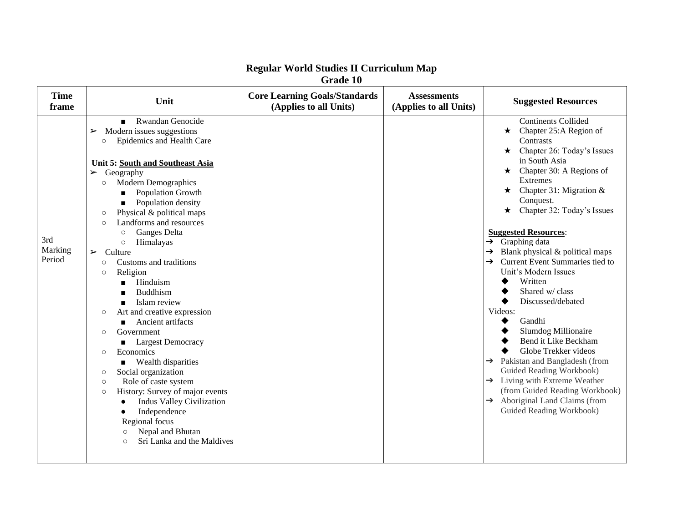|                          | <b>Strauc</b> TV                                                                                                                                                                                                                                                                                                                                                                                                                                                                                                                                                                                                                                                                                                                                                                                                                                                                                                                                                                                                                                           |                                                                |                                              |                                                                                                                                                                                                                                                                                                                                                                                                                                                                                                                                                                                                                                                                                                                                                                                                                                                     |  |
|--------------------------|------------------------------------------------------------------------------------------------------------------------------------------------------------------------------------------------------------------------------------------------------------------------------------------------------------------------------------------------------------------------------------------------------------------------------------------------------------------------------------------------------------------------------------------------------------------------------------------------------------------------------------------------------------------------------------------------------------------------------------------------------------------------------------------------------------------------------------------------------------------------------------------------------------------------------------------------------------------------------------------------------------------------------------------------------------|----------------------------------------------------------------|----------------------------------------------|-----------------------------------------------------------------------------------------------------------------------------------------------------------------------------------------------------------------------------------------------------------------------------------------------------------------------------------------------------------------------------------------------------------------------------------------------------------------------------------------------------------------------------------------------------------------------------------------------------------------------------------------------------------------------------------------------------------------------------------------------------------------------------------------------------------------------------------------------------|--|
| <b>Time</b><br>frame     | Unit                                                                                                                                                                                                                                                                                                                                                                                                                                                                                                                                                                                                                                                                                                                                                                                                                                                                                                                                                                                                                                                       | <b>Core Learning Goals/Standards</b><br>(Applies to all Units) | <b>Assessments</b><br>(Applies to all Units) | <b>Suggested Resources</b>                                                                                                                                                                                                                                                                                                                                                                                                                                                                                                                                                                                                                                                                                                                                                                                                                          |  |
| 3rd<br>Marking<br>Period | Rwandan Genocide<br>$\blacksquare$<br>Modern issues suggestions<br>➤<br>Epidemics and Health Care<br>$\circ$<br>Unit 5: South and Southeast Asia<br>Geography<br>$\blacktriangleright$<br><b>Modern Demographics</b><br>$\circ$<br>Population Growth<br>Population density<br>Physical & political maps<br>$\circ$<br>Landforms and resources<br>$\circ$<br>Ganges Delta<br>$\circ$<br>Himalayas<br>$\circ$<br>$\blacktriangleright$<br>Culture<br>Customs and traditions<br>$\circ$<br>Religion<br>$\circ$<br>Hinduism<br>$\blacksquare$<br><b>Buddhism</b><br>Islam review<br>$\blacksquare$<br>Art and creative expression<br>$\circ$<br>Ancient artifacts<br>Government<br>$\circ$<br><b>Largest Democracy</b><br>$\blacksquare$<br>Economics<br>$\circ$<br><b>Nealth disparities</b><br>Social organization<br>$\circ$<br>Role of caste system<br>$\circ$<br>History: Survey of major events<br>$\circ$<br><b>Indus Valley Civilization</b><br>Independence<br>Regional focus<br>Nepal and Bhutan<br>$\circ$<br>Sri Lanka and the Maldives<br>$\circ$ |                                                                |                                              | <b>Continents Collided</b><br>$\star$ Chapter 25:A Region of<br><b>Contrasts</b><br>Chapter 26: Today's Issues<br>$\star$<br>in South Asia<br>$\star$ Chapter 30: A Regions of<br><b>Extremes</b><br>Chapter 31: Migration &<br>$\star$<br>Conquest.<br>Chapter 32: Today's Issues<br>$\star$<br><b>Suggested Resources:</b><br>Graphing data<br>$\rightarrow$<br>Blank physical & political maps<br>→<br>Current Event Summaries tied to<br>→<br>Unit's Modern Issues<br>Written<br>Shared w/ class<br>Discussed/debated<br>Videos:<br>Gandhi<br>Slumdog Millionaire<br>Bend it Like Beckham<br>Globe Trekker videos<br>Pakistan and Bangladesh (from<br>→<br>Guided Reading Workbook)<br>$\rightarrow$ Living with Extreme Weather<br>(from Guided Reading Workbook)<br>Aboriginal Land Claims (from<br>$\rightarrow$<br>Guided Reading Workbook) |  |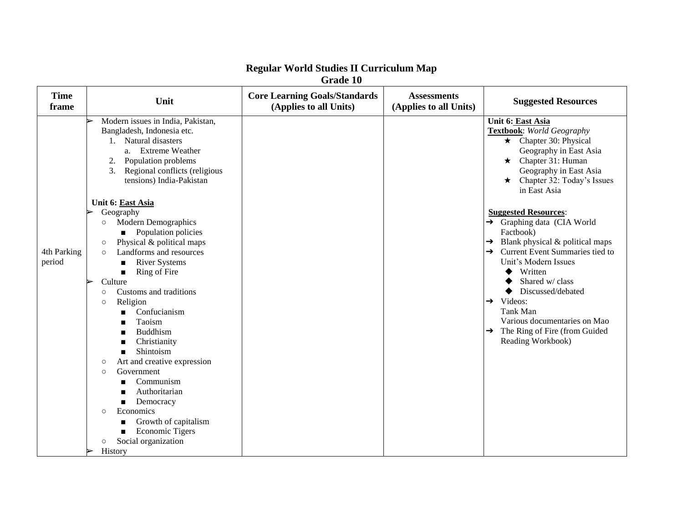| Grade 10              |                                                                                                                                                                                                                                                                                                                                                                                                                                                                                                                                                                                                                                                                                                                                                                                                                                                                                                 |                                                                |                                              |                                                                                                                                                                                                                                                                                                                                                                                                                                                                                                                                                                                                                        |  |
|-----------------------|-------------------------------------------------------------------------------------------------------------------------------------------------------------------------------------------------------------------------------------------------------------------------------------------------------------------------------------------------------------------------------------------------------------------------------------------------------------------------------------------------------------------------------------------------------------------------------------------------------------------------------------------------------------------------------------------------------------------------------------------------------------------------------------------------------------------------------------------------------------------------------------------------|----------------------------------------------------------------|----------------------------------------------|------------------------------------------------------------------------------------------------------------------------------------------------------------------------------------------------------------------------------------------------------------------------------------------------------------------------------------------------------------------------------------------------------------------------------------------------------------------------------------------------------------------------------------------------------------------------------------------------------------------------|--|
| <b>Time</b><br>frame  | Unit                                                                                                                                                                                                                                                                                                                                                                                                                                                                                                                                                                                                                                                                                                                                                                                                                                                                                            | <b>Core Learning Goals/Standards</b><br>(Applies to all Units) | <b>Assessments</b><br>(Applies to all Units) | <b>Suggested Resources</b>                                                                                                                                                                                                                                                                                                                                                                                                                                                                                                                                                                                             |  |
| 4th Parking<br>period | Modern issues in India, Pakistan,<br>Bangladesh, Indonesia etc.<br>1. Natural disasters<br>a. Extreme Weather<br>Population problems<br>2.<br>3.<br>Regional conflicts (religious<br>tensions) India-Pakistan<br>Unit 6: East Asia<br>Geography<br><b>Modern Demographics</b><br>$\circ$<br>• Population policies<br>Physical & political maps<br>$\circ$<br>Landforms and resources<br>$\circ$<br><b>River Systems</b><br>$\blacksquare$<br>Ring of Fire<br>$\blacksquare$<br>Culture<br>Customs and traditions<br>O<br>Religion<br>$\circ$<br>Confucianism<br>Taoism<br><b>Buddhism</b><br>Christianity<br>$\blacksquare$<br>Shintoism<br>$\blacksquare$<br>Art and creative expression<br>$\circ$<br>Government<br>$\circ$<br>Communism<br>Authoritarian<br>Democracy<br>Economics<br>$\circ$<br>Growth of capitalism<br><b>Economic Tigers</b><br>Social organization<br>$\circ$<br>History |                                                                |                                              | Unit 6: East Asia<br><b>Textbook:</b> World Geography<br>$\star$ Chapter 30: Physical<br>Geography in East Asia<br>$\star$ Chapter 31: Human<br>Geography in East Asia<br>$\star$ Chapter 32: Today's Issues<br>in East Asia<br><b>Suggested Resources:</b><br>→ Graphing data (CIA World<br>Factbook)<br>Blank physical & political maps<br>→<br>Current Event Summaries tied to<br>$\rightarrow$<br>Unit's Modern Issues<br>Written<br>Shared w/ class<br>Discussed/debated<br>$\rightarrow$ Videos:<br>Tank Man<br>Various documentaries on Mao<br>$\rightarrow$ The Ring of Fire (from Guided<br>Reading Workbook) |  |